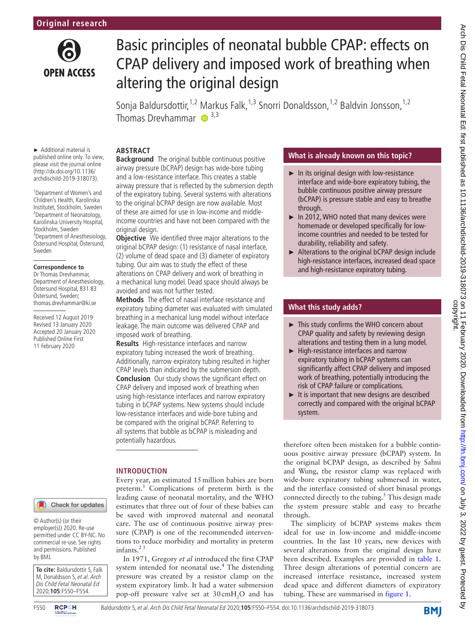

# Basic principles of neonatal bubble CPAP: effects on CPAP delivery and imposed work of breathing when altering the original design

Sonja Baldursdottir,<sup>1,2</sup> Markus Falk,<sup>1,3</sup> Snorri Donaldsson,<sup>1,2</sup> Baldvin Jonsson,<sup>1,2</sup> Thomas Drevhammar  $\bullet$  3,3

# **Abstract**

► Additional material is published online only. To view, please visit the journal online (http://dx.doi.org/10.1136/ archdischild-2019-318073).

1 Department of Women's and Children's Health, Karolinska Institutet, Stockholm, Sweden 2 Department of Neonatology, Karolinska University Hospital, Stockholm, Sweden 3 Department of Anesthesiology, Östersund Hospital, Östersund, Sweden

#### **Correspondence to**

Dr Thomas Drevhammar, Department of Anesthesiology, Östersund Hospital, 831 83 Östersund, Sweden; thomas.drevhammar@ki.se

Received 12 August 2019 Revised 13 January 2020 Accepted 20 January 2020 Published Online First 11 February 2020

# Check for updates

© Author(s) (or their employer(s)) 2020. Re-use permitted under CC BY-NC. No commercial re-use. See rights and permissions. Published by BMJ.

**To cite:** Baldursdottir S, Falk M, Donaldsson S, et al. Arch Dis Child Fetal Neonatal Ed 2020;**105**:F550–F554.



**Background** The original bubble continuous positive airway pressure (bCPAP) design has wide-bore tubing and a low-resistance interface. This creates a stable airway pressure that is reflected by the submersion depth of the expiratory tubing. Several systems with alterations to the original bCPAP design are now available. Most of these are aimed for use in low-income and middleincome countries and have not been compared with the original design.

**Objective** We identified three major alterations to the original bCPAP design: (1) resistance of nasal interface, (2) volume of dead space and (3) diameter of expiratory tubing. Our aim was to study the effect of these alterations on CPAP delivery and work of breathing in a mechanical lung model. Dead space should always be avoided and was not further tested.

**Methods** The effect of nasal interface resistance and expiratory tubing diameter was evaluated with simulated breathing in a mechanical lung model without interface leakage. The main outcome was delivered CPAP and imposed work of breathing.

**Results** High-resistance interfaces and narrow expiratory tubing increased the work of breathing. Additionally, narrow expiratory tubing resulted in higher CPAP levels than indicated by the submersion depth. **Conclusion** Our study shows the significant effect on CPAP delivery and imposed work of breathing when using high-resistance interfaces and narrow expiratory tubing in bCPAP systems. New systems should include low-resistance interfaces and wide-bore tubing and be compared with the original bCPAP. Referring to all systems that bubble as bCPAP is misleading and potentially hazardous.

# **Introduction**

Every year, an estimated 15million babies are born preterm.<sup>[1](#page-4-0)</sup> Complications of preterm birth is the leading cause of neonatal mortality, and the WHO estimates that three out of four of these babies can be saved with improved maternal and neonatal care. The use of continuous positive airway pressure (CPAP) is one of the recommended interventions to reduce morbidity and mortality in preterm infants. $2<sup>3</sup>$ 

In 1971, Gregory *et al* introduced the first CPAP system intended for neonatal use.<sup>[4](#page-4-2)</sup> The distending pressure was created by a resistor clamp on the system expiratory limb. It had a water submersion pop-off pressure valve set at  $30 \text{cm} + \text{N}_2$ O and has

# **What is already known on this topic?**

- $\blacktriangleright$  In its original design with low-resistance interface and wide-bore expiratory tubing, the bubble continuous positive airway pressure (bCPAP) is pressure stable and easy to breathe through.
- ► In 2012, WHO noted that many devices were homemade or developed specifically for lowincome countries and needed to be tested for durability, reliability and safety.
- ► Alterations to the original bCPAP design include high-resistance interfaces, increased dead space and high-resistance expiratory tubing.

# **What this study adds?**

- ► This study confirms the WHO concern about CPAP quality and safety by reviewing design alterations and testing them in a lung model.
- ► High-resistance interfaces and narrow expiratory tubing in bCPAP systems can significantly affect CPAP delivery and imposed work of breathing, potentially introducing the risk of CPAP failure or complications.
- ► It is important that new designs are described correctly and compared with the original bCPAP system.

therefore often been mistaken for a bubble continuous positive airway pressure (bCPAP) system. In the original bCPAP design, as described by Sahni and Wung, the resistor clamp was replaced with wide-bore expiratory tubing submersed in water, and the interface consisted of short binasal prongs connected directly to the tubing. $<sup>5</sup>$  $<sup>5</sup>$  $<sup>5</sup>$  This design made</sup> the system pressure stable and easy to breathe through.

The simplicity of bCPAP systems makes them ideal for use in low-income and middle-income countries. In the last 10 years, new devices with several alterations from the original design have been described. Examples are provided in [table](#page-1-0) 1. Three design alterations of potential concern are increased interface resistance, increased system dead space and different diameters of expiratory tubing. These are summarised in [figure](#page-1-1) 1.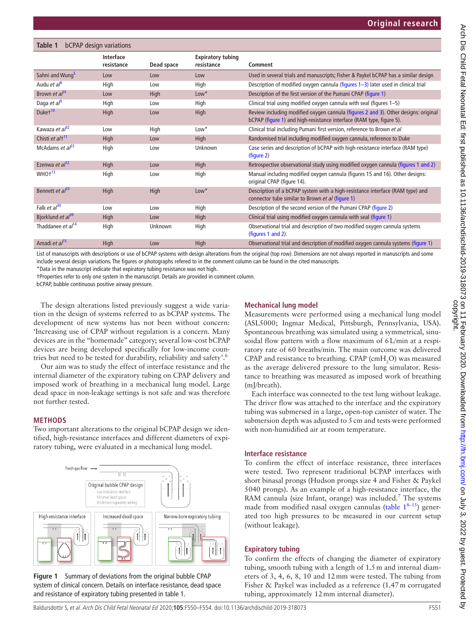# <span id="page-1-0"></span>**Table 1** bCPAP design variations

|                               | <b>Interface</b><br>resistance | Dead space | <b>Expiratory tubing</b><br>resistance | Comment                                                                                                                                                     |
|-------------------------------|--------------------------------|------------|----------------------------------------|-------------------------------------------------------------------------------------------------------------------------------------------------------------|
| Sahni and Wung <sup>5</sup>   | Low                            | Low        | Low                                    | Used in several trials and manuscripts; Fisher & Paykel bCPAP has a similar design                                                                          |
| Audu et $a^{8}$               | High                           | Low        | High                                   | Description of modified oxygen cannula (figures 1-3) later used in clinical trial                                                                           |
| Brown et $al^{31}$            | Low                            | High       | $Low*$                                 | Description of the first version of the Pumani CPAP (figure 1)                                                                                              |
| Daga et $a^{\beta}$           | High                           | Low        | High                                   | Clinical trial using modified oxygen cannula with seal (figures 1-5)                                                                                        |
| Duket <sup>10</sup>           | High                           | Low        | High                                   | Review including modified oxygen cannula (figures 2 and 3). Other designs: original<br>bCPAP (figure 1) and high-resistance interface (RAM type, figure 5). |
| Kawaza et al <sup>32</sup>    | Low                            | High       | $Low*$                                 | Clinical trial including Pumani first version, reference to Brown et al                                                                                     |
| Chisti et al <sup>+11</sup>   | High                           | Low        | High                                   | Randomised trial including modified oxygen cannula, reference to Duke                                                                                       |
| McAdams et $al^{23}$          | High                           | Low        | Unknown                                | Case series and description of bCPAP with high-resistance interface (RAM type)<br>(figure 2)                                                                |
| Ezenwa et al <sup>12</sup>    | High                           | Low        | High                                   | Retrospective observational study using modified oxygen cannula (figures 1 and 2)                                                                           |
| WHO <sup>13</sup>             | High                           | Low        | High                                   | Manual including modified oxygen cannula (figures 15 and 16). Other designs:<br>original CPAP (figure 14).                                                  |
| Bennett et $a^{33}$           | High                           | High       | $Low*$                                 | Description of a bCPAP system with a high-resistance interface (RAM type) and<br>connector tube similar to Brown et al (figure 1)                           |
| Falk et al <sup>30</sup>      | Low                            | Low        | High                                   | Description of the second version of the Pumani CPAP (figure 2)                                                                                             |
| Bjorklund et al <sup>39</sup> | High                           | Low        | High                                   | Clinical trial using modified oxygen cannula with seal (figure 1)                                                                                           |
| Thaddanee et al <sup>14</sup> | High                           | Unknown    | High                                   | Observational trial and description of two modified oxygen cannula systems<br>(figures 1 and 2).                                                            |
| Amadi et al <sup>15</sup>     | High                           | Low        | <b>High</b>                            | Observational trial and description of modified oxygen cannula systems (figure 1)                                                                           |

List of manuscripts with descriptions or use of bCPAP systems with design alterations from the original (top row). Dimensions are not always reported in manuscripts and some include several design variations. The figures or photographs refered to in the comment column can be found in the cited manuscripts.

\*Data in the manuscript indicate that expiratory tubing resistance was not high.

†Properties refer to only one system in the manuscript. Details are provided in comment column.

bCPAP, bubble continuous positive airway pressure.

The design alterations listed previously suggest a wide variation in the design of systems referred to as bCPAP systems. The development of new systems has not been without concern: 'Increasing use of CPAP without regulation is a concern. Many devices are in the "homemade" category; several low-cost bCPAP devices are being developed specifically for low-income countries but need to be tested for durability, reliability and safety'[.6](#page-4-18)

Our aim was to study the effect of interface resistance and the internal diameter of the expiratory tubing on CPAP delivery and imposed work of breathing in a mechanical lung model. Large dead space in non-leakage settings is not safe and was therefore not further tested.

# **Methods**

Two important alterations to the original bCPAP design we identified, high-resistance interfaces and different diameters of expiratory tubing, were evaluated in a mechanical lung model.



<span id="page-1-1"></span>**Figure 1** Summary of deviations from the original bubble CPAP system of clinical concern. Details on interface resistance, dead space and resistance of expiratory tubing presented in [table 1.](#page-1-0)

# **Mechanical lung model**

Measurements were performed using a mechanical lung model (ASL5000; Ingmar Medical, Pittsburgh, Pennsylvania, USA). Spontaneous breathing was simulated using a symmetrical, sinusoidal flow pattern with a flow maximum of 6L/min at a respiratory rate of 60 breaths/min. The main outcome was delivered CPAP and resistance to breathing. CPAP (cm $H_2O$ ) was measured as the average delivered pressure to the lung simulator. Resistance to breathing was measured as imposed work of breathing (mJ/breath).

Each interface was connected to the test lung without leakage. The driver flow was attached to the interface and the expiratory tubing was submersed in a large, open-top canister of water. The submersion depth was adjusted to 5cm and tests were performed with non-humidified air at room temperature.

# **Interface resistance**

To confirm the effect of interface resistance, three interfaces were tested. Two represent traditional bCPAP interfaces with short binasal prongs (Hudson prongs size 4 and Fisher & Paykel 5040 prongs). As an example of a high-resistance interface, the RAM cannula (size Infant, orange) was included.<sup>[7](#page-4-19)</sup> The systems made from modified nasal oxygen cannulas [\(table](#page-1-0)  $1^{8-15}$ ) generated too high pressures to be measured in our current setup (without leakage).

# **Expiratory tubing**

To confirm the effects of changing the diameter of expiratory tubing, smooth tubing with a length of 1.5m and internal diameters of 3, 4, 6, 8, 10 and 12mm were tested. The tubing from Fisher & Paykel was included as a reference (1.47m corrugated tubing, approximately 12mm internal diameter).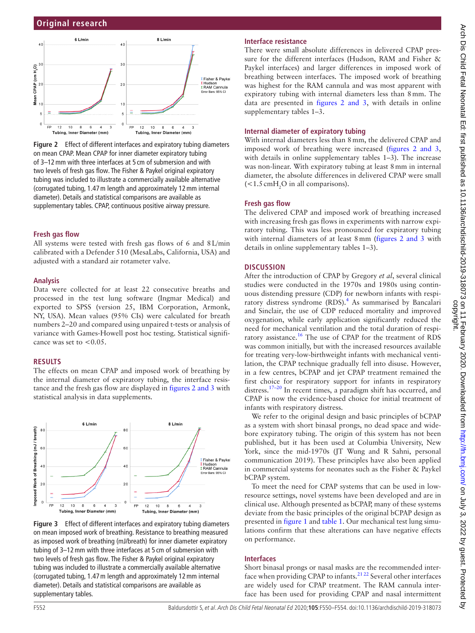

<span id="page-2-0"></span>**Figure 2** Effect of different interfaces and expiratory tubing diameters on mean CPAP. Mean CPAP for inner diameter expiratory tubing of 3–12mm with three interfaces at 5 cm of submersion and with two levels of fresh gas flow. The Fisher & Paykel original expiratory tubing was included to illustrate a commercially available alternative (corrugated tubing, 1.47m length and approximately 12mm internal diameter). Details and statistical comparisons are available as supplementary tables. CPAP, continuous positive airway pressure.

# **Fresh gas flow**

All systems were tested with fresh gas flows of 6 and 8L/min calibrated with a Defender 510 (MesaLabs, California, USA) and adjusted with a standard air rotameter valve.

#### **Analysis**

Data were collected for at least 22 consecutive breaths and processed in the test lung software (Ingmar Medical) and exported to SPSS (version 25, IBM Corporation, Armonk, NY, USA). Mean values (95% CIs) were calculated for breath numbers 2–20 and compared using unpaired t-tests or analysis of variance with Games-Howell post hoc testing. Statistical significance was set to  $< 0.05$ .

#### **Results**

The effects on mean CPAP and imposed work of breathing by the internal diameter of expiratory tubing, the interface resistance and the fresh gas flow are displayed in figures [2 and 3](#page-2-0) with statistical analysis in data supplements.



<span id="page-2-1"></span>**Figure 3** Effect of different interfaces and expiratory tubing diameters on mean imposed work of breathing. Resistance to breathing measured as imposed work of breathing (mJ/breath) for inner diameter expiratory tubing of 3–12mm with three interfaces at 5 cm of submersion with two levels of fresh gas flow. The Fisher & Paykel original expiratory tubing was included to illustrate a commercially available alternative (corrugated tubing, 1.47m length and approximately 12mm internal diameter). Details and statistical comparisons are available as supplementary tables.

# **Interface resistance**

There were small absolute differences in delivered CPAP pressure for the different interfaces (Hudson, RAM and Fisher & Paykel interfaces) and larger differences in imposed work of breathing between interfaces. The imposed work of breathing was highest for the RAM cannula and was most apparent with expiratory tubing with internal diameters less than 8mm. The data are presented in figures [2 and 3,](#page-2-0) with details in [online](https://dx.doi.org/10.1136/fetalneonatal-2019-318073) [supplementary tables 1–3.](https://dx.doi.org/10.1136/fetalneonatal-2019-318073)

#### **Internal diameter of expiratory tubing**

With internal diameters less than 8mm, the delivered CPAP and imposed work of breathing were increased (figures [2 and 3,](#page-2-0) with details in [online supplementary tables 1–3\)](https://dx.doi.org/10.1136/fetalneonatal-2019-318073). The increase was non-linear. With expiratory tubing at least 8mm in internal diameter, the absolute differences in delivered CPAP were small  $\leq$  1.5 cmH<sub>2</sub>O in all comparisons).

#### **Fresh gas flow**

The delivered CPAP and imposed work of breathing increased with increasing fresh gas flows in experiments with narrow expiratory tubing. This was less pronounced for expiratory tubing with internal diameters of at least 8 mm (figures [2 and 3](#page-2-0) with details in [online supplementary tables 1–3\)](https://dx.doi.org/10.1136/fetalneonatal-2019-318073).

#### **Discussion**

After the introduction of CPAP by Gregory *et al*, several clinical studies were conducted in the 1970s and 1980s using continuous distending pressure (CDP) for newborn infants with respi-ratory distress syndrome (RDS).<sup>[4](#page-4-2)</sup> As summarised by Bancalari and Sinclair, the use of CDP reduced mortality and improved oxygenation, while early application significantly reduced the need for mechanical ventilation and the total duration of respiratory assistance[.16](#page-4-20) The use of CPAP for the treatment of RDS was common initially, but with the increased resources available for treating very-low-birthweight infants with mechanical ventilation, the CPAP technique gradually fell into disuse. However, in a few centres, bCPAP and jet CPAP treatment remained the first choice for respiratory support for infants in respiratory distress.<sup>17–20</sup> In recent times, a paradigm shift has occurred, and CPAP is now the evidence-based choice for initial treatment of infants with respiratory distress.

We refer to the original design and basic principles of bCPAP as a system with short binasal prongs, no dead space and widebore expiratory tubing. The origin of this system has not been published, but it has been used at Columbia University, New York, since the mid-1970s (JT Wung and R Sahni, personal communication 2019). These principles have also been applied in commercial systems for neonates such as the Fisher & Paykel bCPAP system.

To meet the need for CPAP systems that can be used in lowresource settings, novel systems have been developed and are in clinical use. Although presented as bCPAP, many of these systems deviate from the basic principles of the original bCPAP design as presented in [figure](#page-1-1) 1 and [table](#page-1-0) 1. Our mechanical test lung simulations confirm that these alterations can have negative effects on performance.

#### **Interfaces**

Short binasal prongs or nasal masks are the recommended interface when providing CPAP to infants. $2122$  Several other interfaces are widely used for CPAP treatment. The RAM cannula interface has been used for providing CPAP and nasal intermittent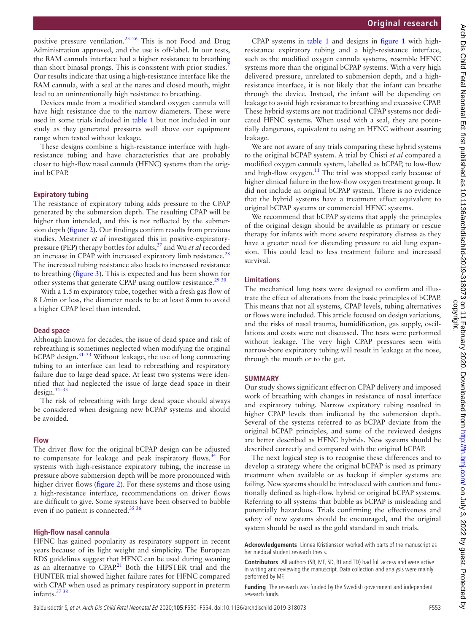positive pressure ventilation.[23–26](#page-4-10) This is not Food and Drug Administration approved, and the use is off-label. In our tests, the RAM cannula interface had a higher resistance to breathing than short binasal prongs. This is consistent with prior studies.<sup>[7](#page-4-19)</sup> Our results indicate that using a high-resistance interface like the RAM cannula, with a seal at the nares and closed mouth, might lead to an unintentionally high resistance to breathing.

Devices made from a modified standard oxygen cannula will have high resistance due to the narrow diameters. These were used in some trials included in [table](#page-1-0) 1 but not included in our study as they generated pressures well above our equipment range when tested without leakage.

These designs combine a high-resistance interface with highresistance tubing and have characteristics that are probably closer to high-flow nasal cannula (HFNC) systems than the original bCPAP.

# **Expiratory tubing**

The resistance of expiratory tubing adds pressure to the CPAP generated by the submersion depth. The resulting CPAP will be higher than intended, and this is not reflected by the submersion depth [\(figure](#page-2-0) 2). Our findings confirm results from previous studies. Mestriner *et al* investigated this in positive-expiratorypressure (PEP) therapy bottles for adults,[27](#page-4-23) and Wu *et al* recorded an increase in CPAP with increased expiratory limb resistance.<sup>[28](#page-4-24)</sup> The increased tubing resistance also leads to increased resistance to breathing ([figure](#page-2-1) 3). This is expected and has been shown for other systems that generate CPAP using outflow resistance.<sup>[29 30](#page-4-25)</sup>

With a 1.5 m expiratory tube, together with a fresh gas flow of 8 L/min or less, the diameter needs to be at least 8mm to avoid a higher CPAP level than intended.

# **Dead space**

Although known for decades, the issue of dead space and risk of rebreathing is sometimes neglected when modifying the original  $bCPAP$  design.<sup>31–33</sup> Without leakage, the use of long connecting tubing to an interface can lead to rebreathing and respiratory failure due to large dead space. At least two systems were identified that had neglected the issue of large dead space in their design.[31–33](#page-4-5)

The risk of rebreathing with large dead space should always be considered when designing new bCPAP systems and should be avoided.

# **Flow**

The driver flow for the original bCPAP design can be adjusted to compensate for leakage and peak inspiratory flows.<sup>34</sup> For systems with high-resistance expiratory tubing, the increase in pressure above submersion depth will be more pronounced with higher driver flows ([figure](#page-2-0) 2). For these systems and those using a high-resistance interface, recommendations on driver flows are difficult to give. Some systems have been observed to bubble even if no patient is connected.<sup>35 36</sup>

# **High-flow nasal cannula**

HFNC has gained popularity as respiratory support in recent years because of its light weight and simplicity. The European RDS guidelines suggest that HFNC can be used during weaning as an alternative to  $CPAP<sup>21</sup>$  $CPAP<sup>21</sup>$  $CPAP<sup>21</sup>$  Both the HIPSTER trial and the HUNTER trial showed higher failure rates for HFNC compared with CPAP when used as primary respiratory support in preterm infants.<sup>37</sup> 38

CPAP systems in [table](#page-1-0) 1 and designs in [figure](#page-1-1) 1 with highresistance expiratory tubing and a high-resistance interface, such as the modified oxygen cannula systems, resemble HFNC systems more than the original bCPAP systems. With a very high delivered pressure, unrelated to submersion depth, and a highresistance interface, it is not likely that the infant can breathe through the device. Instead, the infant will be depending on leakage to avoid high resistance to breathing and excessive CPAP. These hybrid systems are not traditional CPAP systems nor dedicated HFNC systems. When used with a seal, they are potentially dangerous, equivalent to using an HFNC without assuring leakage.

We are not aware of any trials comparing these hybrid systems to the original bCPAP system. A trial by Chisti *et al* compared a modified oxygen cannula system, labelled as bCPAP, to low-flow and high-flow oxygen.<sup>11</sup> The trial was stopped early because of higher clinical failure in the low-flow oxygen treatment group. It did not include an original bCPAP system. There is no evidence that the hybrid systems have a treatment effect equivalent to original bCPAP systems or commercial HFNC systems.

We recommend that bCPAP systems that apply the principles of the original design should be available as primary or rescue therapy for infants with more severe respiratory distress as they have a greater need for distending pressure to aid lung expansion. This could lead to less treatment failure and increased survival.

# **Limitations**

The mechanical lung tests were designed to confirm and illustrate the effect of alterations from the basic principles of bCPAP. This means that not all systems, CPAP levels, tubing alternatives or flows were included. This article focused on design variations, and the risks of nasal trauma, humidification, gas supply, oscillations and costs were not discussed. The tests were performed without leakage. The very high CPAP pressures seen with narrow-bore expiratory tubing will result in leakage at the nose, through the mouth or to the gut.

# **Summary**

Our study shows significant effect on CPAP delivery and imposed work of breathing with changes in resistance of nasal interface and expiratory tubing. Narrow expiratory tubing resulted in higher CPAP levels than indicated by the submersion depth. Several of the systems referred to as bCPAP deviate from the original bCPAP principles, and some of the reviewed designs are better described as HFNC hybrids. New systems should be described correctly and compared with the original bCPAP.

The next logical step is to recognise these differences and to develop a strategy where the original bCPAP is used as primary treatment when available or as backup if simpler systems are failing. New systems should be introduced with caution and functionally defined as high-flow, hybrid or original bCPAP systems. Referring to all systems that bubble as bCPAP is misleading and potentially hazardous. Trials confirming the effectiveness and safety of new systems should be encouraged, and the original system should be used as the gold standard in such trials.

**Acknowledgements** Linnea Kristiansson worked with parts of the manuscript as her medical student research thesis.

**Contributors** All authors (SB, MF, SD, BJ and TD) had full access and were active in writing and reviewing the manuscript. Data collection and analysis were mainly performed by MF.

**Funding** The research was funded by the Swedish government and independent research funds.